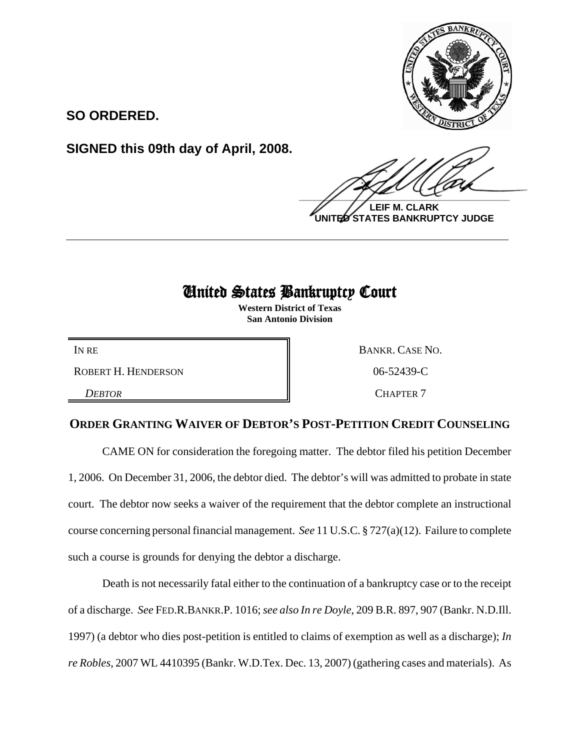

**SO ORDERED.**

**SIGNED this 09th day of April, 2008.**

 $\frac{1}{2}$ 

**LEIF M. CLARK UNITED STATES BANKRUPTCY JUDGE**

## United States Bankruptcy Court

**\_\_\_\_\_\_\_\_\_\_\_\_\_\_\_\_\_\_\_\_\_\_\_\_\_\_\_\_\_\_\_\_\_\_\_\_\_\_\_\_\_\_\_\_\_\_\_\_\_\_\_\_\_\_\_\_\_\_\_\_**

**Western District of Texas San Antonio Division**

ROBERT H. HENDERSON **New York 106-52439-C** 

**DEBTOR** CHAPTER 7

IN RE BANKR. CASE NO.

## **ORDER GRANTING WAIVER OF DEBTOR'S POST-PETITION CREDIT COUNSELING**

CAME ON for consideration the foregoing matter. The debtor filed his petition December 1, 2006. On December 31, 2006, the debtor died. The debtor's will was admitted to probate in state court. The debtor now seeks a waiver of the requirement that the debtor complete an instructional course concerning personal financial management. *See* 11 U.S.C. § 727(a)(12). Failure to complete such a course is grounds for denying the debtor a discharge.

Death is not necessarily fatal either to the continuation of a bankruptcy case or to the receipt of a discharge. *See* FED.R.BANKR.P. 1016; *see also In re Doyle*, 209 B.R. 897, 907 (Bankr. N.D.Ill. 1997) (a debtor who dies post-petition is entitled to claims of exemption as well as a discharge); *In re Robles*, 2007 WL 4410395 (Bankr. W.D.Tex. Dec. 13, 2007) (gathering cases and materials). As